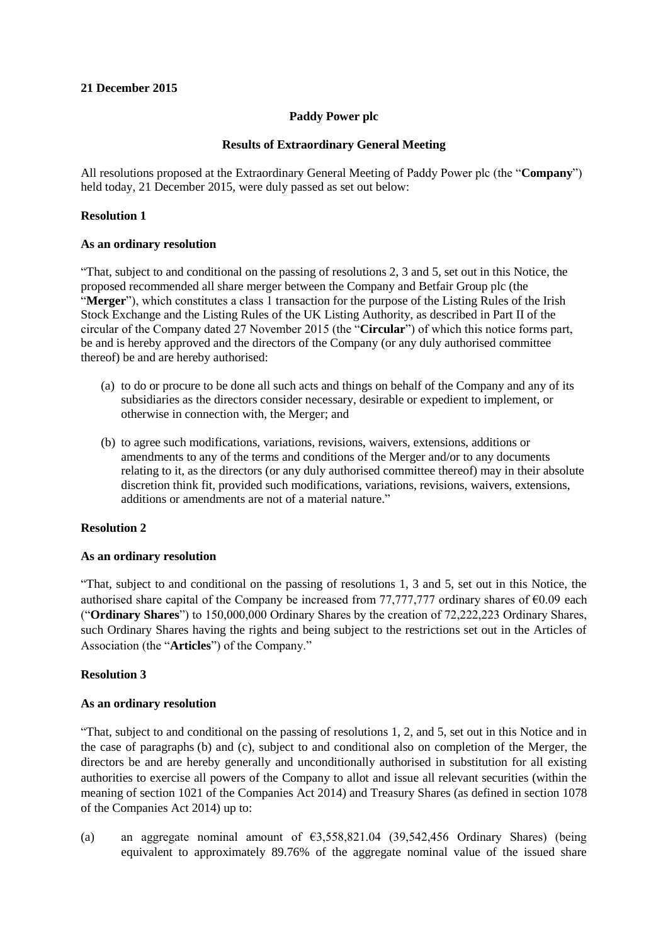## **21 December 2015**

# **Paddy Power plc**

### **Results of Extraordinary General Meeting**

All resolutions proposed at the Extraordinary General Meeting of Paddy Power plc (the "**Company**") held today, 21 December 2015, were duly passed as set out below:

### **Resolution 1**

#### **As an ordinary resolution**

"That, subject to and conditional on the passing of resolutions 2, 3 and 5, set out in this Notice, the proposed recommended all share merger between the Company and Betfair Group plc (the "**Merger**"), which constitutes a class 1 transaction for the purpose of the Listing Rules of the Irish Stock Exchange and the Listing Rules of the UK Listing Authority, as described in Part II of the circular of the Company dated 27 November 2015 (the "**Circular**") of which this notice forms part, be and is hereby approved and the directors of the Company (or any duly authorised committee thereof) be and are hereby authorised:

- (a) to do or procure to be done all such acts and things on behalf of the Company and any of its subsidiaries as the directors consider necessary, desirable or expedient to implement, or otherwise in connection with, the Merger; and
- (b) to agree such modifications, variations, revisions, waivers, extensions, additions or amendments to any of the terms and conditions of the Merger and/or to any documents relating to it, as the directors (or any duly authorised committee thereof) may in their absolute discretion think fit, provided such modifications, variations, revisions, waivers, extensions, additions or amendments are not of a material nature."

### **Resolution 2**

### **As an ordinary resolution**

"That, subject to and conditional on the passing of resolutions 1, 3 and 5, set out in this Notice, the authorised share capital of the Company be increased from 77,777,777 ordinary shares of  $\epsilon 0.09$  each ("**Ordinary Shares**") to 150,000,000 Ordinary Shares by the creation of 72,222,223 Ordinary Shares, such Ordinary Shares having the rights and being subject to the restrictions set out in the Articles of Association (the "**Articles**") of the Company."

### **Resolution 3**

### **As an ordinary resolution**

"That, subject to and conditional on the passing of resolutions 1, 2, and 5, set out in this Notice and in the case of paragraphs (b) and (c), subject to and conditional also on completion of the Merger, the directors be and are hereby generally and unconditionally authorised in substitution for all existing authorities to exercise all powers of the Company to allot and issue all relevant securities (within the meaning of section 1021 of the Companies Act 2014) and Treasury Shares (as defined in section 1078 of the Companies Act 2014) up to:

(a) an aggregate nominal amount of €3,558,821.04 (39,542,456 Ordinary Shares) (being equivalent to approximately 89.76% of the aggregate nominal value of the issued share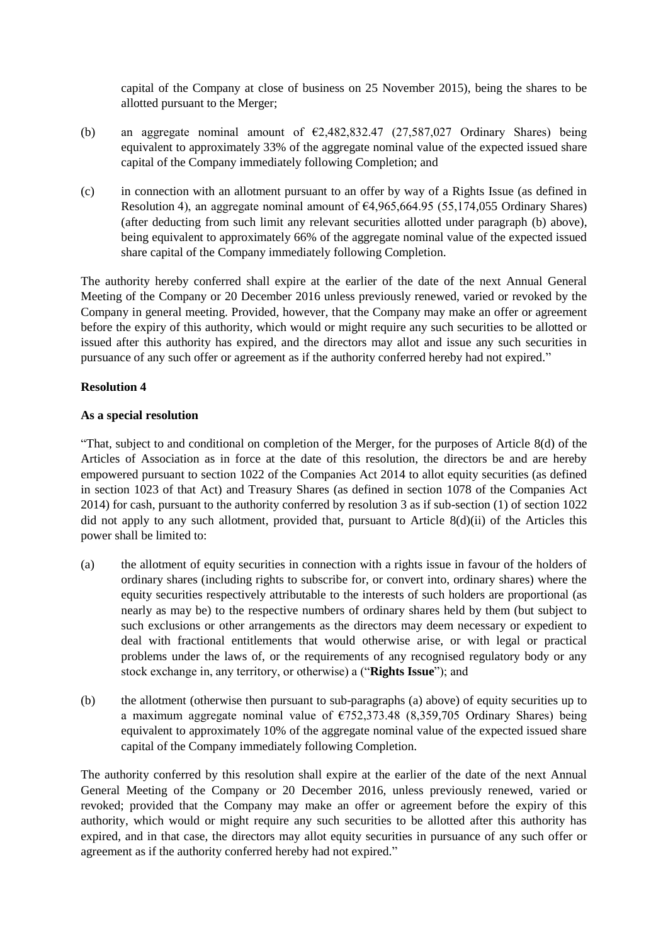capital of the Company at close of business on 25 November 2015), being the shares to be allotted pursuant to the Merger;

- (b) an aggregate nominal amount of  $\epsilon$ 2,482,832.47 (27,587,027 Ordinary Shares) being equivalent to approximately 33% of the aggregate nominal value of the expected issued share capital of the Company immediately following Completion; and
- (c) in connection with an allotment pursuant to an offer by way of a Rights Issue (as defined in Resolution 4), an aggregate nominal amount of  $64,965,664.95$  (55,174,055 Ordinary Shares) (after deducting from such limit any relevant securities allotted under paragraph (b) above), being equivalent to approximately 66% of the aggregate nominal value of the expected issued share capital of the Company immediately following Completion.

The authority hereby conferred shall expire at the earlier of the date of the next Annual General Meeting of the Company or 20 December 2016 unless previously renewed, varied or revoked by the Company in general meeting. Provided, however, that the Company may make an offer or agreement before the expiry of this authority, which would or might require any such securities to be allotted or issued after this authority has expired, and the directors may allot and issue any such securities in pursuance of any such offer or agreement as if the authority conferred hereby had not expired."

# **Resolution 4**

# **As a special resolution**

"That, subject to and conditional on completion of the Merger, for the purposes of Article 8(d) of the Articles of Association as in force at the date of this resolution, the directors be and are hereby empowered pursuant to section 1022 of the Companies Act 2014 to allot equity securities (as defined in section 1023 of that Act) and Treasury Shares (as defined in section 1078 of the Companies Act 2014) for cash, pursuant to the authority conferred by resolution 3 as if sub-section (1) of section 1022 did not apply to any such allotment, provided that, pursuant to Article 8(d)(ii) of the Articles this power shall be limited to:

- (a) the allotment of equity securities in connection with a rights issue in favour of the holders of ordinary shares (including rights to subscribe for, or convert into, ordinary shares) where the equity securities respectively attributable to the interests of such holders are proportional (as nearly as may be) to the respective numbers of ordinary shares held by them (but subject to such exclusions or other arrangements as the directors may deem necessary or expedient to deal with fractional entitlements that would otherwise arise, or with legal or practical problems under the laws of, or the requirements of any recognised regulatory body or any stock exchange in, any territory, or otherwise) a ("**Rights Issue**"); and
- (b) the allotment (otherwise then pursuant to sub-paragraphs (a) above) of equity securities up to a maximum aggregate nominal value of  $\epsilon$ 752,373.48 (8,359,705 Ordinary Shares) being equivalent to approximately 10% of the aggregate nominal value of the expected issued share capital of the Company immediately following Completion.

The authority conferred by this resolution shall expire at the earlier of the date of the next Annual General Meeting of the Company or 20 December 2016, unless previously renewed, varied or revoked; provided that the Company may make an offer or agreement before the expiry of this authority, which would or might require any such securities to be allotted after this authority has expired, and in that case, the directors may allot equity securities in pursuance of any such offer or agreement as if the authority conferred hereby had not expired."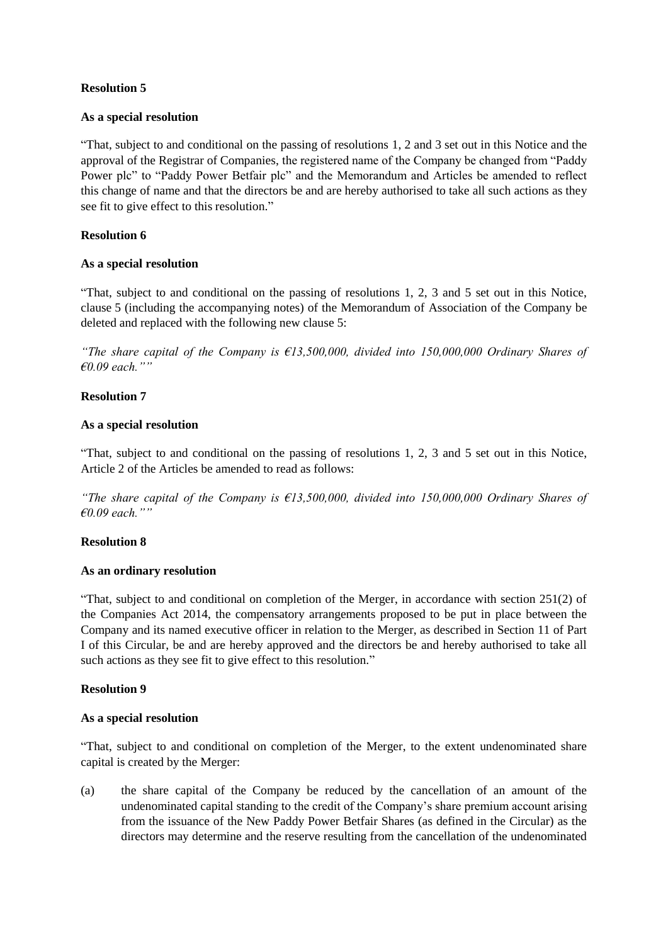# **Resolution 5**

## **As a special resolution**

"That, subject to and conditional on the passing of resolutions 1, 2 and 3 set out in this Notice and the approval of the Registrar of Companies, the registered name of the Company be changed from "Paddy Power plc" to "Paddy Power Betfair plc" and the Memorandum and Articles be amended to reflect this change of name and that the directors be and are hereby authorised to take all such actions as they see fit to give effect to this resolution."

# **Resolution 6**

# **As a special resolution**

"That, subject to and conditional on the passing of resolutions 1, 2, 3 and 5 set out in this Notice, clause 5 (including the accompanying notes) of the Memorandum of Association of the Company be deleted and replaced with the following new clause 5:

*"The share capital of the Company is €13,500,000, divided into 150,000,000 Ordinary Shares of €0.09 each.""*

# **Resolution 7**

# **As a special resolution**

"That, subject to and conditional on the passing of resolutions 1, 2, 3 and 5 set out in this Notice, Article 2 of the Articles be amended to read as follows:

*"The share capital of the Company is €13,500,000, divided into 150,000,000 Ordinary Shares of €0.09 each.""*

# **Resolution 8**

## **As an ordinary resolution**

"That, subject to and conditional on completion of the Merger, in accordance with section 251(2) of the Companies Act 2014, the compensatory arrangements proposed to be put in place between the Company and its named executive officer in relation to the Merger, as described in Section 11 of Part I of this Circular, be and are hereby approved and the directors be and hereby authorised to take all such actions as they see fit to give effect to this resolution."

# **Resolution 9**

### **As a special resolution**

"That, subject to and conditional on completion of the Merger, to the extent undenominated share capital is created by the Merger:

(a) the share capital of the Company be reduced by the cancellation of an amount of the undenominated capital standing to the credit of the Company's share premium account arising from the issuance of the New Paddy Power Betfair Shares (as defined in the Circular) as the directors may determine and the reserve resulting from the cancellation of the undenominated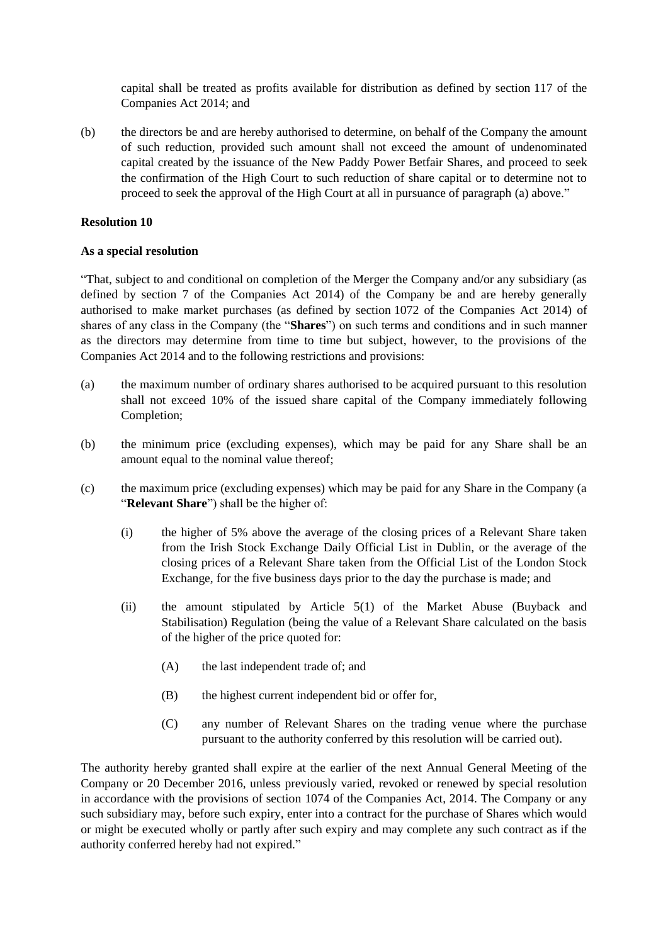capital shall be treated as profits available for distribution as defined by section 117 of the Companies Act 2014; and

(b) the directors be and are hereby authorised to determine, on behalf of the Company the amount of such reduction, provided such amount shall not exceed the amount of undenominated capital created by the issuance of the New Paddy Power Betfair Shares, and proceed to seek the confirmation of the High Court to such reduction of share capital or to determine not to proceed to seek the approval of the High Court at all in pursuance of paragraph (a) above."

## **Resolution 10**

### **As a special resolution**

"That, subject to and conditional on completion of the Merger the Company and/or any subsidiary (as defined by section 7 of the Companies Act 2014) of the Company be and are hereby generally authorised to make market purchases (as defined by section 1072 of the Companies Act 2014) of shares of any class in the Company (the "**Shares**") on such terms and conditions and in such manner as the directors may determine from time to time but subject, however, to the provisions of the Companies Act 2014 and to the following restrictions and provisions:

- (a) the maximum number of ordinary shares authorised to be acquired pursuant to this resolution shall not exceed 10% of the issued share capital of the Company immediately following Completion;
- (b) the minimum price (excluding expenses), which may be paid for any Share shall be an amount equal to the nominal value thereof;
- (c) the maximum price (excluding expenses) which may be paid for any Share in the Company (a "**Relevant Share**") shall be the higher of:
	- (i) the higher of 5% above the average of the closing prices of a Relevant Share taken from the Irish Stock Exchange Daily Official List in Dublin, or the average of the closing prices of a Relevant Share taken from the Official List of the London Stock Exchange, for the five business days prior to the day the purchase is made; and
	- (ii) the amount stipulated by Article 5(1) of the Market Abuse (Buyback and Stabilisation) Regulation (being the value of a Relevant Share calculated on the basis of the higher of the price quoted for:
		- (A) the last independent trade of; and
		- (B) the highest current independent bid or offer for,
		- (C) any number of Relevant Shares on the trading venue where the purchase pursuant to the authority conferred by this resolution will be carried out).

The authority hereby granted shall expire at the earlier of the next Annual General Meeting of the Company or 20 December 2016, unless previously varied, revoked or renewed by special resolution in accordance with the provisions of section 1074 of the Companies Act, 2014. The Company or any such subsidiary may, before such expiry, enter into a contract for the purchase of Shares which would or might be executed wholly or partly after such expiry and may complete any such contract as if the authority conferred hereby had not expired."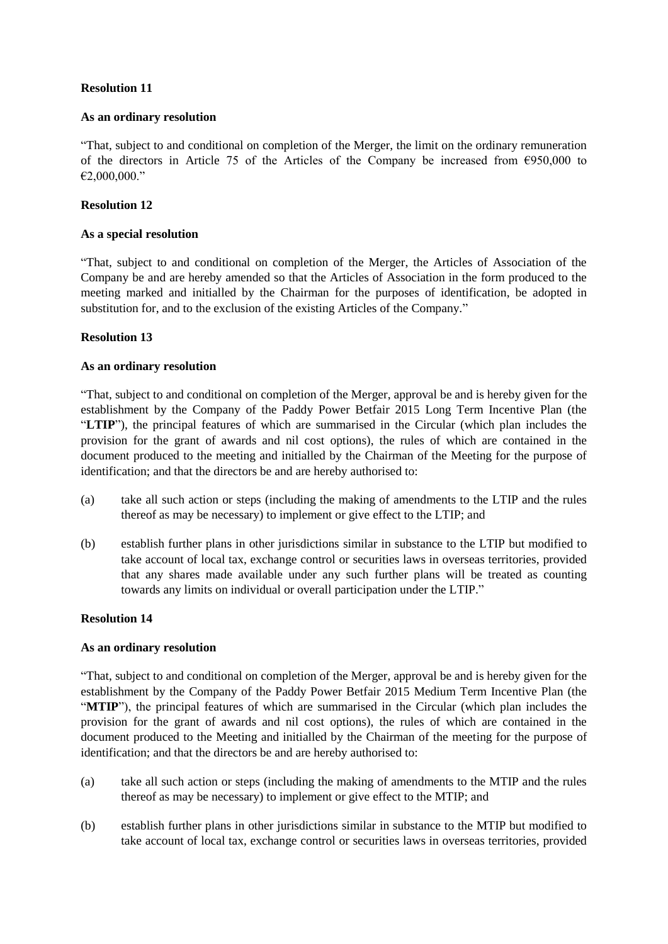# **Resolution 11**

#### **As an ordinary resolution**

"That, subject to and conditional on completion of the Merger, the limit on the ordinary remuneration of the directors in Article 75 of the Articles of the Company be increased from  $\epsilon$ 950,000 to €2,000,000."

## **Resolution 12**

### **As a special resolution**

"That, subject to and conditional on completion of the Merger, the Articles of Association of the Company be and are hereby amended so that the Articles of Association in the form produced to the meeting marked and initialled by the Chairman for the purposes of identification, be adopted in substitution for, and to the exclusion of the existing Articles of the Company."

### **Resolution 13**

#### **As an ordinary resolution**

"That, subject to and conditional on completion of the Merger, approval be and is hereby given for the establishment by the Company of the Paddy Power Betfair 2015 Long Term Incentive Plan (the "**LTIP**"), the principal features of which are summarised in the Circular (which plan includes the provision for the grant of awards and nil cost options), the rules of which are contained in the document produced to the meeting and initialled by the Chairman of the Meeting for the purpose of identification; and that the directors be and are hereby authorised to:

- (a) take all such action or steps (including the making of amendments to the LTIP and the rules thereof as may be necessary) to implement or give effect to the LTIP; and
- (b) establish further plans in other jurisdictions similar in substance to the LTIP but modified to take account of local tax, exchange control or securities laws in overseas territories, provided that any shares made available under any such further plans will be treated as counting towards any limits on individual or overall participation under the LTIP."

### **Resolution 14**

### **As an ordinary resolution**

"That, subject to and conditional on completion of the Merger, approval be and is hereby given for the establishment by the Company of the Paddy Power Betfair 2015 Medium Term Incentive Plan (the "**MTIP**"), the principal features of which are summarised in the Circular (which plan includes the provision for the grant of awards and nil cost options), the rules of which are contained in the document produced to the Meeting and initialled by the Chairman of the meeting for the purpose of identification; and that the directors be and are hereby authorised to:

- (a) take all such action or steps (including the making of amendments to the MTIP and the rules thereof as may be necessary) to implement or give effect to the MTIP; and
- (b) establish further plans in other jurisdictions similar in substance to the MTIP but modified to take account of local tax, exchange control or securities laws in overseas territories, provided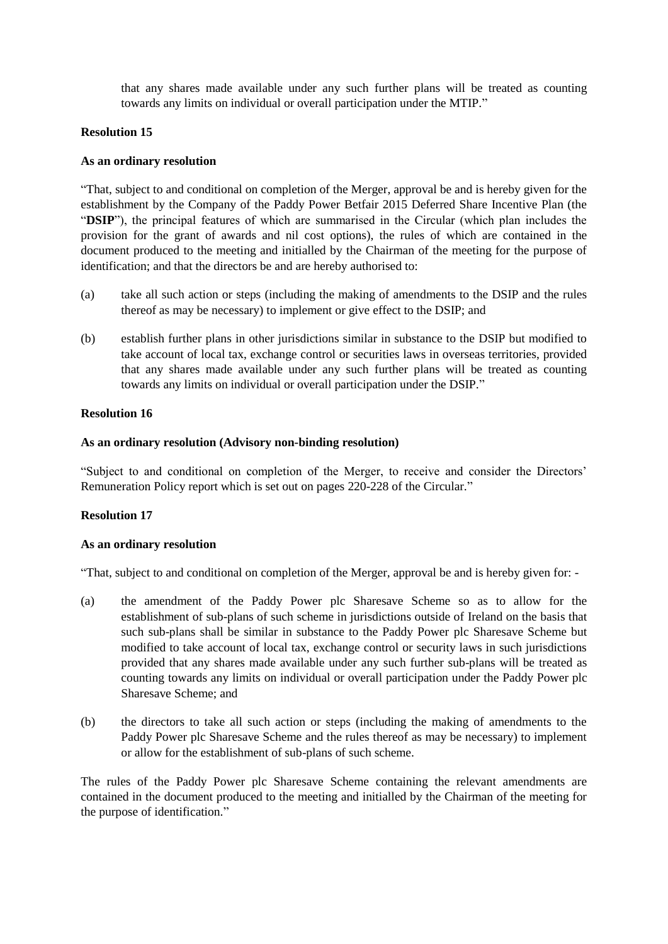that any shares made available under any such further plans will be treated as counting towards any limits on individual or overall participation under the MTIP."

## **Resolution 15**

## **As an ordinary resolution**

"That, subject to and conditional on completion of the Merger, approval be and is hereby given for the establishment by the Company of the Paddy Power Betfair 2015 Deferred Share Incentive Plan (the "**DSIP**"), the principal features of which are summarised in the Circular (which plan includes the provision for the grant of awards and nil cost options), the rules of which are contained in the document produced to the meeting and initialled by the Chairman of the meeting for the purpose of identification; and that the directors be and are hereby authorised to:

- (a) take all such action or steps (including the making of amendments to the DSIP and the rules thereof as may be necessary) to implement or give effect to the DSIP; and
- (b) establish further plans in other jurisdictions similar in substance to the DSIP but modified to take account of local tax, exchange control or securities laws in overseas territories, provided that any shares made available under any such further plans will be treated as counting towards any limits on individual or overall participation under the DSIP."

# **Resolution 16**

### **As an ordinary resolution (Advisory non-binding resolution)**

"Subject to and conditional on completion of the Merger, to receive and consider the Directors' Remuneration Policy report which is set out on pages 220-228 of the Circular."

### **Resolution 17**

### **As an ordinary resolution**

"That, subject to and conditional on completion of the Merger, approval be and is hereby given for: -

- (a) the amendment of the Paddy Power plc Sharesave Scheme so as to allow for the establishment of sub-plans of such scheme in jurisdictions outside of Ireland on the basis that such sub-plans shall be similar in substance to the Paddy Power plc Sharesave Scheme but modified to take account of local tax, exchange control or security laws in such jurisdictions provided that any shares made available under any such further sub-plans will be treated as counting towards any limits on individual or overall participation under the Paddy Power plc Sharesave Scheme; and
- (b) the directors to take all such action or steps (including the making of amendments to the Paddy Power plc Sharesave Scheme and the rules thereof as may be necessary) to implement or allow for the establishment of sub-plans of such scheme.

The rules of the Paddy Power plc Sharesave Scheme containing the relevant amendments are contained in the document produced to the meeting and initialled by the Chairman of the meeting for the purpose of identification."